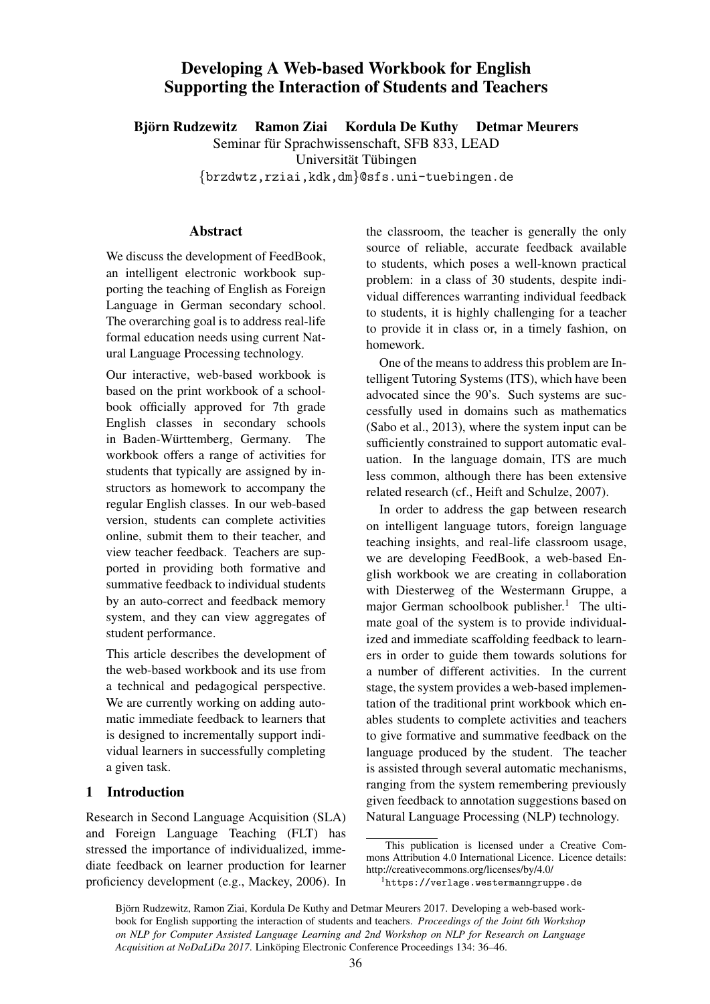# Developing A Web-based Workbook for English Supporting the Interaction of Students and Teachers

Björn Rudzewitz Ramon Ziai Kordula De Kuthy Detmar Meurers

Seminar für Sprachwissenschaft, SFB 833, LEAD

Universität Tübingen

{brzdwtz,rziai,kdk,dm}@sfs.uni-tuebingen.de

### Abstract

We discuss the development of FeedBook, an intelligent electronic workbook supporting the teaching of English as Foreign Language in German secondary school. The overarching goal is to address real-life formal education needs using current Natural Language Processing technology.

Our interactive, web-based workbook is based on the print workbook of a schoolbook officially approved for 7th grade English classes in secondary schools in Baden-Württemberg, Germany. The workbook offers a range of activities for students that typically are assigned by instructors as homework to accompany the regular English classes. In our web-based version, students can complete activities online, submit them to their teacher, and view teacher feedback. Teachers are supported in providing both formative and summative feedback to individual students by an auto-correct and feedback memory system, and they can view aggregates of student performance.

This article describes the development of the web-based workbook and its use from a technical and pedagogical perspective. We are currently working on adding automatic immediate feedback to learners that is designed to incrementally support individual learners in successfully completing a given task.

## 1 Introduction

Research in Second Language Acquisition (SLA) and Foreign Language Teaching (FLT) has stressed the importance of individualized, immediate feedback on learner production for learner proficiency development (e.g., Mackey, 2006). In the classroom, the teacher is generally the only source of reliable, accurate feedback available to students, which poses a well-known practical problem: in a class of 30 students, despite individual differences warranting individual feedback to students, it is highly challenging for a teacher to provide it in class or, in a timely fashion, on homework.

One of the means to address this problem are Intelligent Tutoring Systems (ITS), which have been advocated since the 90's. Such systems are successfully used in domains such as mathematics (Sabo et al., 2013), where the system input can be sufficiently constrained to support automatic evaluation. In the language domain, ITS are much less common, although there has been extensive related research (cf., Heift and Schulze, 2007).

In order to address the gap between research on intelligent language tutors, foreign language teaching insights, and real-life classroom usage, we are developing FeedBook, a web-based English workbook we are creating in collaboration with Diesterweg of the Westermann Gruppe, a major German schoolbook publisher.<sup>1</sup> The ultimate goal of the system is to provide individualized and immediate scaffolding feedback to learners in order to guide them towards solutions for a number of different activities. In the current stage, the system provides a web-based implementation of the traditional print workbook which enables students to complete activities and teachers to give formative and summative feedback on the language produced by the student. The teacher is assisted through several automatic mechanisms, ranging from the system remembering previously given feedback to annotation suggestions based on Natural Language Processing (NLP) technology.

This publication is licensed under a Creative Commons Attribution 4.0 International Licence. Licence details: http://creativecommons.org/licenses/by/4.0/

<sup>1</sup>https://verlage.westermanngruppe.de

Björn Rudzewitz, Ramon Ziai, Kordula De Kuthy and Detmar Meurers 2017. Developing a web-based workbook for English supporting the interaction of students and teachers. *Proceedings of the Joint 6th Workshop on NLP for Computer Assisted Language Learning and 2nd Workshop on NLP for Research on Language Acquisition at NoDaLiDa 2017*. Linköping Electronic Conference Proceedings 134: 36–46.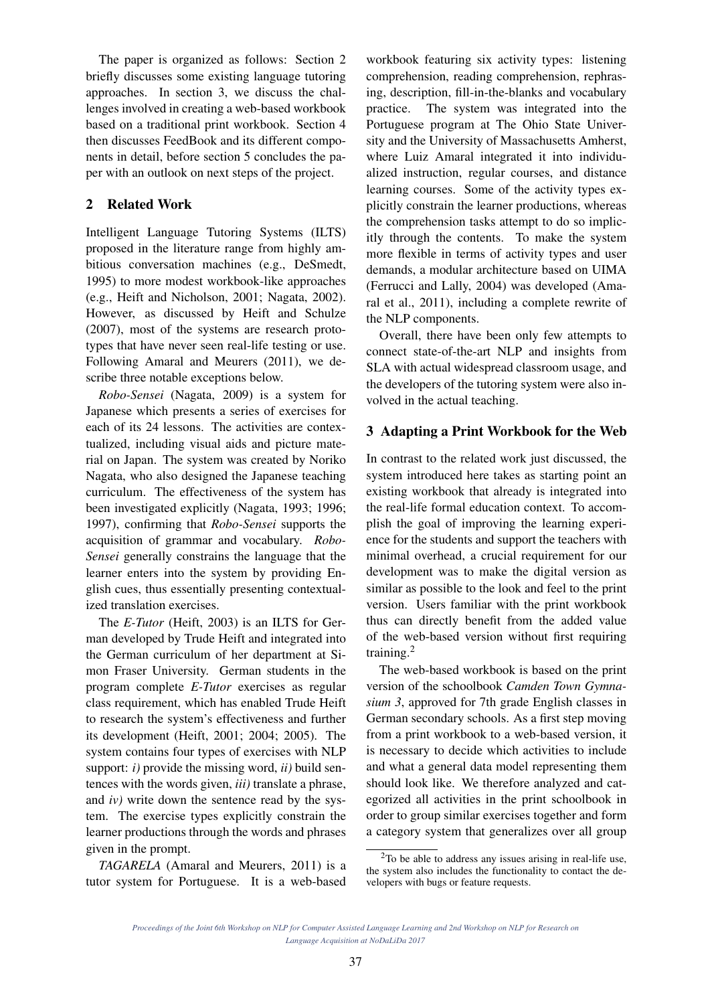The paper is organized as follows: Section 2 briefly discusses some existing language tutoring approaches. In section 3, we discuss the challenges involved in creating a web-based workbook based on a traditional print workbook. Section 4 then discusses FeedBook and its different components in detail, before section 5 concludes the paper with an outlook on next steps of the project.

# 2 Related Work

Intelligent Language Tutoring Systems (ILTS) proposed in the literature range from highly ambitious conversation machines (e.g., DeSmedt, 1995) to more modest workbook-like approaches (e.g., Heift and Nicholson, 2001; Nagata, 2002). However, as discussed by Heift and Schulze (2007), most of the systems are research prototypes that have never seen real-life testing or use. Following Amaral and Meurers (2011), we describe three notable exceptions below.

*Robo-Sensei* (Nagata, 2009) is a system for Japanese which presents a series of exercises for each of its 24 lessons. The activities are contextualized, including visual aids and picture material on Japan. The system was created by Noriko Nagata, who also designed the Japanese teaching curriculum. The effectiveness of the system has been investigated explicitly (Nagata, 1993; 1996; 1997), confirming that *Robo-Sensei* supports the acquisition of grammar and vocabulary. *Robo-Sensei* generally constrains the language that the learner enters into the system by providing English cues, thus essentially presenting contextualized translation exercises.

The *E-Tutor* (Heift, 2003) is an ILTS for German developed by Trude Heift and integrated into the German curriculum of her department at Simon Fraser University. German students in the program complete *E-Tutor* exercises as regular class requirement, which has enabled Trude Heift to research the system's effectiveness and further its development (Heift, 2001; 2004; 2005). The system contains four types of exercises with NLP support: *i)* provide the missing word, *ii)* build sentences with the words given, *iii)* translate a phrase, and *iv)* write down the sentence read by the system. The exercise types explicitly constrain the learner productions through the words and phrases given in the prompt.

*TAGARELA* (Amaral and Meurers, 2011) is a tutor system for Portuguese. It is a web-based

workbook featuring six activity types: listening comprehension, reading comprehension, rephrasing, description, fill-in-the-blanks and vocabulary practice. The system was integrated into the Portuguese program at The Ohio State University and the University of Massachusetts Amherst, where Luiz Amaral integrated it into individualized instruction, regular courses, and distance learning courses. Some of the activity types explicitly constrain the learner productions, whereas the comprehension tasks attempt to do so implicitly through the contents. To make the system more flexible in terms of activity types and user demands, a modular architecture based on UIMA (Ferrucci and Lally, 2004) was developed (Amaral et al., 2011), including a complete rewrite of the NLP components.

Overall, there have been only few attempts to connect state-of-the-art NLP and insights from SLA with actual widespread classroom usage, and the developers of the tutoring system were also involved in the actual teaching.

# 3 Adapting a Print Workbook for the Web

In contrast to the related work just discussed, the system introduced here takes as starting point an existing workbook that already is integrated into the real-life formal education context. To accomplish the goal of improving the learning experience for the students and support the teachers with minimal overhead, a crucial requirement for our development was to make the digital version as similar as possible to the look and feel to the print version. Users familiar with the print workbook thus can directly benefit from the added value of the web-based version without first requiring training.<sup>2</sup>

The web-based workbook is based on the print version of the schoolbook *Camden Town Gymnasium 3*, approved for 7th grade English classes in German secondary schools. As a first step moving from a print workbook to a web-based version, it is necessary to decide which activities to include and what a general data model representing them should look like. We therefore analyzed and categorized all activities in the print schoolbook in order to group similar exercises together and form a category system that generalizes over all group

<sup>2</sup>To be able to address any issues arising in real-life use, the system also includes the functionality to contact the developers with bugs or feature requests.

*Proceedings of the Joint 6th Workshop on NLP for Computer Assisted Language Learning and 2nd Workshop on NLP for Research on Language Acquisition at NoDaLiDa 2017*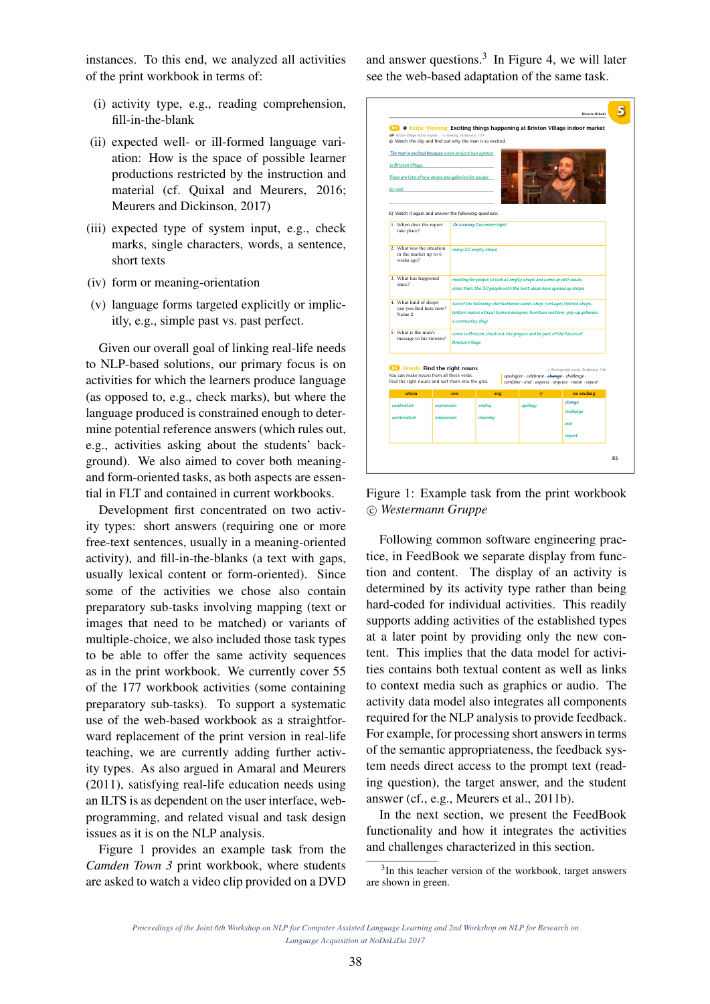instances. To this end, we analyzed all activities of the print workbook in terms of:

- (i) activity type, e.g., reading comprehension, fill-in-the-blank
- (ii) expected well- or ill-formed language variation: How is the space of possible learner productions restricted by the instruction and material (cf. Quixal and Meurers, 2016; Meurers and Dickinson, 2017)
- (iii) expected type of system input, e.g., check marks, single characters, words, a sentence, short texts
- (iv) form or meaning-orientation
- (v) language forms targeted explicitly or implicitly, e.g., simple past vs. past perfect.

Given our overall goal of linking real-life needs to NLP-based solutions, our primary focus is on activities for which the learners produce language (as opposed to, e.g., check marks), but where the language produced is constrained enough to determine potential reference answers (which rules out, e.g., activities asking about the students' background). We also aimed to cover both meaningand form-oriented tasks, as both aspects are essential in FLT and contained in current workbooks.

Development first concentrated on two activity types: short answers (requiring one or more free-text sentences, usually in a meaning-oriented activity), and fill-in-the-blanks (a text with gaps, usually lexical content or form-oriented). Since some of the activities we chose also contain preparatory sub-tasks involving mapping (text or images that need to be matched) or variants of multiple-choice, we also included those task types to be able to offer the same activity sequences as in the print workbook. We currently cover 55 of the 177 workbook activities (some containing preparatory sub-tasks). To support a systematic use of the web-based workbook as a straightforward replacement of the print version in real-life teaching, we are currently adding further activity types. As also argued in Amaral and Meurers (2011), satisfying real-life education needs using an ILTS is as dependent on the user interface, webprogramming, and related visual and task design issues as it is on the NLP analysis.

Figure 1 provides an example task from the *Camden Town 3* print workbook, where students are asked to watch a video clip provided on a DVD and answer questions. 3 In Figure 4, we will later see the web-based adaptation of the same task.



Figure 1: Example task from the print workbook c *Westermann Gruppe*

Following common software engineering practice, in FeedBook we separate display from function and content. The display of an activity is determined by its activity type rather than being hard-coded for individual activities. This readily supports adding activities of the established types at a later point by providing only the new content. This implies that the data model for activities contains both textual content as well as links to context media such as graphics or audio. The activity data model also integrates all components required for the NLP analysis to provide feedback. For example, for processing short answers in terms of the semantic appropriateness, the feedback system needs direct access to the prompt text (reading question), the target answer, and the student answer (cf., e.g., Meurers et al., 2011b).

In the next section, we present the FeedBook functionality and how it integrates the activities and challenges characterized in this section.

<sup>&</sup>lt;sup>3</sup>In this teacher version of the workbook, target answers are shown in green.

*Proceedings of the Joint 6th Workshop on NLP for Computer Assisted Language Learning and 2nd Workshop on NLP for Research on Language Acquisition at NoDaLiDa 2017*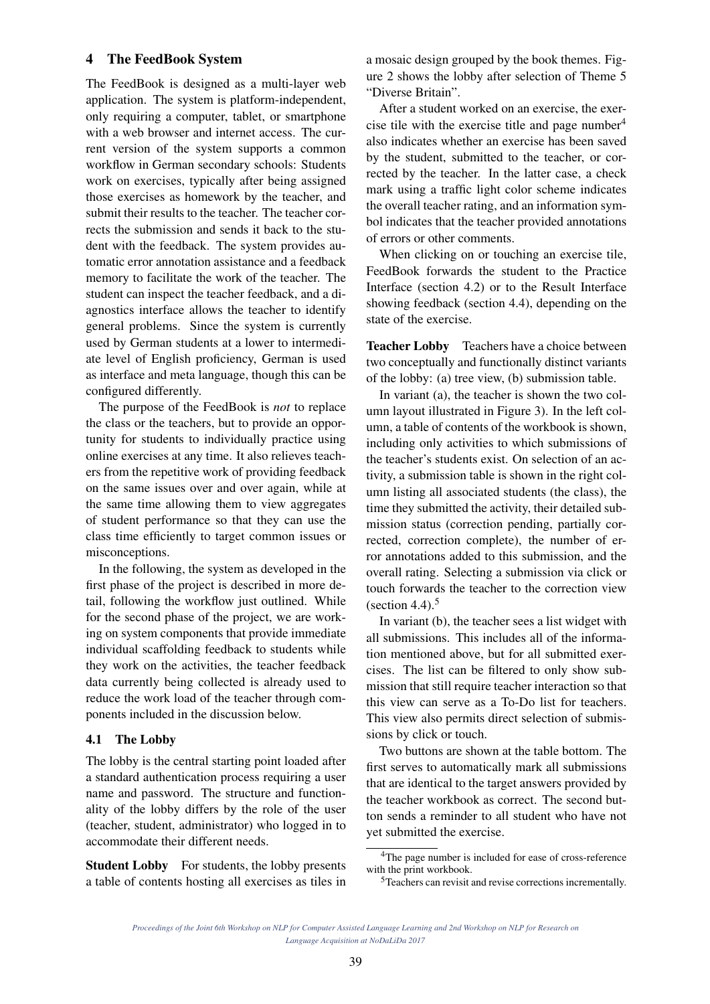#### 4 The FeedBook System

The FeedBook is designed as a multi-layer web application. The system is platform-independent, only requiring a computer, tablet, or smartphone with a web browser and internet access. The current version of the system supports a common workflow in German secondary schools: Students work on exercises, typically after being assigned those exercises as homework by the teacher, and submit their results to the teacher. The teacher corrects the submission and sends it back to the student with the feedback. The system provides automatic error annotation assistance and a feedback memory to facilitate the work of the teacher. The student can inspect the teacher feedback, and a diagnostics interface allows the teacher to identify general problems. Since the system is currently used by German students at a lower to intermediate level of English proficiency, German is used as interface and meta language, though this can be configured differently.

The purpose of the FeedBook is *not* to replace the class or the teachers, but to provide an opportunity for students to individually practice using online exercises at any time. It also relieves teachers from the repetitive work of providing feedback on the same issues over and over again, while at the same time allowing them to view aggregates of student performance so that they can use the class time efficiently to target common issues or misconceptions.

In the following, the system as developed in the first phase of the project is described in more detail, following the workflow just outlined. While for the second phase of the project, we are working on system components that provide immediate individual scaffolding feedback to students while they work on the activities, the teacher feedback data currently being collected is already used to reduce the work load of the teacher through components included in the discussion below.

#### 4.1 The Lobby

The lobby is the central starting point loaded after a standard authentication process requiring a user name and password. The structure and functionality of the lobby differs by the role of the user (teacher, student, administrator) who logged in to accommodate their different needs.

Student Lobby For students, the lobby presents a table of contents hosting all exercises as tiles in a mosaic design grouped by the book themes. Figure 2 shows the lobby after selection of Theme 5 "Diverse Britain".

After a student worked on an exercise, the exercise tile with the exercise title and page number<sup>4</sup> also indicates whether an exercise has been saved by the student, submitted to the teacher, or corrected by the teacher. In the latter case, a check mark using a traffic light color scheme indicates the overall teacher rating, and an information symbol indicates that the teacher provided annotations of errors or other comments.

When clicking on or touching an exercise tile, FeedBook forwards the student to the Practice Interface (section 4.2) or to the Result Interface showing feedback (section 4.4), depending on the state of the exercise.

Teacher Lobby Teachers have a choice between two conceptually and functionally distinct variants of the lobby: (a) tree view, (b) submission table.

In variant (a), the teacher is shown the two column layout illustrated in Figure 3). In the left column, a table of contents of the workbook is shown, including only activities to which submissions of the teacher's students exist. On selection of an activity, a submission table is shown in the right column listing all associated students (the class), the time they submitted the activity, their detailed submission status (correction pending, partially corrected, correction complete), the number of error annotations added to this submission, and the overall rating. Selecting a submission via click or touch forwards the teacher to the correction view (section 4.4). $5$ 

In variant (b), the teacher sees a list widget with all submissions. This includes all of the information mentioned above, but for all submitted exercises. The list can be filtered to only show submission that still require teacher interaction so that this view can serve as a To-Do list for teachers. This view also permits direct selection of submissions by click or touch.

Two buttons are shown at the table bottom. The first serves to automatically mark all submissions that are identical to the target answers provided by the teacher workbook as correct. The second button sends a reminder to all student who have not yet submitted the exercise.

<sup>&</sup>lt;sup>4</sup>The page number is included for ease of cross-reference with the print workbook.

<sup>5</sup>Teachers can revisit and revise corrections incrementally.

*Proceedings of the Joint 6th Workshop on NLP for Computer Assisted Language Learning and 2nd Workshop on NLP for Research on Language Acquisition at NoDaLiDa 2017*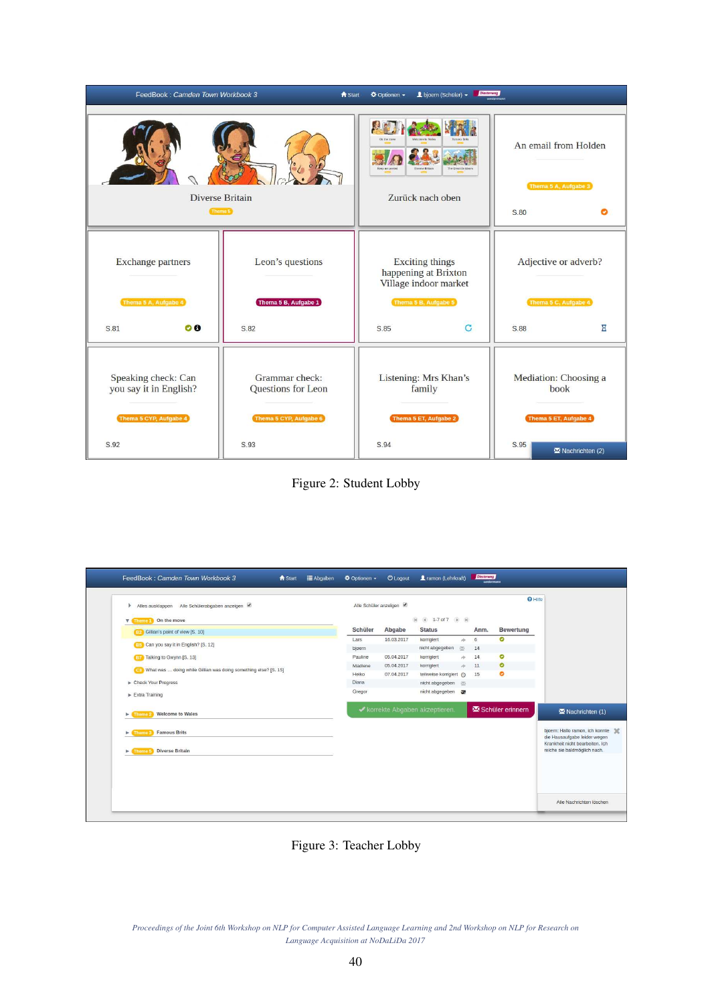| FeedBook: Camden Town Workbook 3                                        | <b>f</b> Start                                                 | L bjoern (Schüler) +<br><b><math>\Phi</math></b> Optionen ▼                                     | Diesterweg   |                                                        |                       |  |
|-------------------------------------------------------------------------|----------------------------------------------------------------|-------------------------------------------------------------------------------------------------|--------------|--------------------------------------------------------|-----------------------|--|
| Diverse Britain<br>Theme 5                                              |                                                                | Keep me posted<br>The Great Outdo<br>Diverse Britain<br>Zurück nach oben                        |              | An email from Holden<br>Thema 5 A, Aufgabe 3<br>S.80   |                       |  |
| <b>Exchange partners</b><br>Thema 5 A, Aufgabe 4                        | Leon's questions<br>Thema 5 B, Aufgabe 1                       | <b>Exciting things</b><br>happening at Brixton<br>Village indoor market<br>Thema 5 B, Aufgabe 5 |              | Adjective or adverb?<br>Thema 5 C, Aufgabe 4           |                       |  |
| $\bullet$<br>S.81                                                       | S.82                                                           | S.85                                                                                            | $\mathbf{C}$ | S.88                                                   | $\overline{\text{z}}$ |  |
| Speaking check: Can<br>you say it in English?<br>Thema 5 CYP, Aufgabe 4 | Grammar check:<br>Questions for Leon<br>Thema 5 CYP, Aufgabe 6 | Listening: Mrs Khan's<br>family<br>Thema 5 ET, Aufgabe 2                                        |              | Mediation: Choosing a<br>book<br>Thema 5 ET, Aufgabe 4 |                       |  |
| S.92                                                                    | S.93                                                           | S.94<br>S.95                                                                                    |              |                                                        | M Nachrichten (2)     |  |

Figure 2: Student Lobby

| Schüler | Abgabe     | <b>Status</b>         |                                 | Anm.                                                                                | <b>Bewertung</b>              |                                                                 |
|---------|------------|-----------------------|---------------------------------|-------------------------------------------------------------------------------------|-------------------------------|-----------------------------------------------------------------|
| Lars    | 16.03.2017 | korrigiert            |                                 | 6                                                                                   | O                             |                                                                 |
| bjoern  |            | nicht abgegeben       |                                 | 14                                                                                  |                               |                                                                 |
| Pauline | 05.04.2017 | korrigiert            | rto.                            | 14                                                                                  | $\bullet$                     |                                                                 |
| Madlene | 05.04.2017 | korrigiert            |                                 | 11                                                                                  | $\bullet$                     |                                                                 |
| Heiko   | 07.04.2017 |                       |                                 | 15                                                                                  | ۰                             |                                                                 |
| Diana   |            |                       |                                 |                                                                                     |                               |                                                                 |
| Gregor  |            |                       |                                 |                                                                                     |                               |                                                                 |
|         |            |                       |                                 |                                                                                     |                               | Nachrichten (1)                                                 |
|         |            |                       |                                 |                                                                                     |                               | bjoern: Hallo ramon, ich konnte<br>die Hausaufgabe leider wegen |
|         |            |                       |                                 |                                                                                     |                               | Krankheit nicht bearbeiten, Ich<br>reiche sie baldmöglich nach. |
|         |            |                       |                                 |                                                                                     |                               |                                                                 |
|         |            |                       |                                 |                                                                                     |                               |                                                                 |
|         |            |                       |                                 |                                                                                     |                               |                                                                 |
|         |            | Alle Schüler anzeigen | ◆ korrekte Abgaben akzeptieren. | ide.<br>逐<br>is.<br>teilweise korrigiert (O<br>nicht abgegeben 图<br>nicht abgegeben | (ii) (ii) 1-7 of 7 (ii) (iii) | <b>Q</b> Hilfe<br>Schüler erinnern                              |

Figure 3: Teacher Lobby

*Proceedings of the Joint 6th Workshop on NLP for Computer Assisted Language Learning and 2nd Workshop on NLP for Research on Language Acquisition at NoDaLiDa 2017*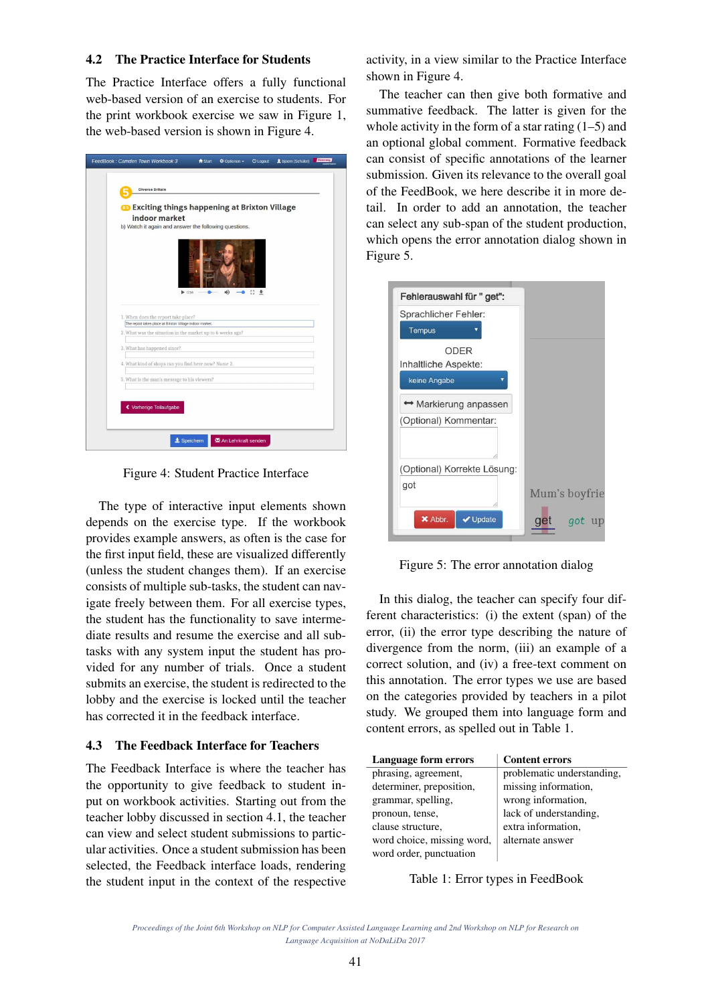### 4.2 The Practice Interface for Students

The Practice Interface offers a fully functional web-based version of an exercise to students. For the print workbook exercise we saw in Figure 1, the web-based version is shown in Figure 4.

| FeedBook: Camden Town Workbook 3 |                                                                                 | <b>f</b> Start | <b>☆</b> Optionen ▼   | <b>O</b> Logout | L bjoern (Schüler) | <b>Netterweg</b> |
|----------------------------------|---------------------------------------------------------------------------------|----------------|-----------------------|-----------------|--------------------|------------------|
|                                  | <b>Diverse Britain</b><br><b>B</b> Exciting things happening at Brixton Village |                |                       |                 |                    |                  |
|                                  | indoor market                                                                   |                |                       |                 |                    |                  |
|                                  | b) Watch it again and answer the following questions.                           |                |                       |                 |                    |                  |
|                                  | 0.54<br>1. When does the report take place?                                     |                | 4Ò                    | 83 业            |                    |                  |
|                                  | The report takes place at Brixton Village indoor market.                        |                |                       |                 |                    |                  |
|                                  | 2. What was the situation in the market up to 6 weeks ago?                      |                |                       |                 |                    |                  |
|                                  | 3. What has happened since?                                                     |                |                       |                 |                    |                  |
|                                  | 4. What kind of shops can you find here now? Name 2.                            |                |                       |                 |                    |                  |
|                                  | 5. What is the man's message to his viewers?                                    |                |                       |                 |                    |                  |
|                                  | ◆ Vorherige Teilaufgabe                                                         |                |                       |                 |                    |                  |
|                                  | $\pm$ Speichern                                                                 |                | 图 An Lehrkraft senden |                 |                    |                  |

Figure 4: Student Practice Interface

The type of interactive input elements shown depends on the exercise type. If the workbook provides example answers, as often is the case for the first input field, these are visualized differently (unless the student changes them). If an exercise consists of multiple sub-tasks, the student can navigate freely between them. For all exercise types, the student has the functionality to save intermediate results and resume the exercise and all subtasks with any system input the student has provided for any number of trials. Once a student submits an exercise, the student is redirected to the lobby and the exercise is locked until the teacher has corrected it in the feedback interface.

## 4.3 The Feedback Interface for Teachers

The Feedback Interface is where the teacher has the opportunity to give feedback to student input on workbook activities. Starting out from the teacher lobby discussed in section 4.1, the teacher can view and select student submissions to particular activities. Once a student submission has been selected, the Feedback interface loads, rendering the student input in the context of the respective activity, in a view similar to the Practice Interface shown in Figure 4.

The teacher can then give both formative and summative feedback. The latter is given for the whole activity in the form of a star rating  $(1–5)$  and an optional global comment. Formative feedback can consist of specific annotations of the learner submission. Given its relevance to the overall goal of the FeedBook, we here describe it in more detail. In order to add an annotation, the teacher can select any sub-span of the student production, which opens the error annotation dialog shown in Figure 5.



Figure 5: The error annotation dialog

In this dialog, the teacher can specify four different characteristics: (i) the extent (span) of the error, (ii) the error type describing the nature of divergence from the norm, (iii) an example of a correct solution, and (iv) a free-text comment on this annotation. The error types we use are based on the categories provided by teachers in a pilot study. We grouped them into language form and content errors, as spelled out in Table 1.

| Language form errors       | <b>Content errors</b>      |
|----------------------------|----------------------------|
| phrasing, agreement,       | problematic understanding, |
| determiner, preposition,   | missing information,       |
| grammar, spelling,         | wrong information,         |
| pronoun, tense,            | lack of understanding,     |
| clause structure,          | extra information,         |
| word choice, missing word, | alternate answer           |
| word order, punctuation    |                            |

Table 1: Error types in FeedBook

*Proceedings of the Joint 6th Workshop on NLP for Computer Assisted Language Learning and 2nd Workshop on NLP for Research on Language Acquisition at NoDaLiDa 2017*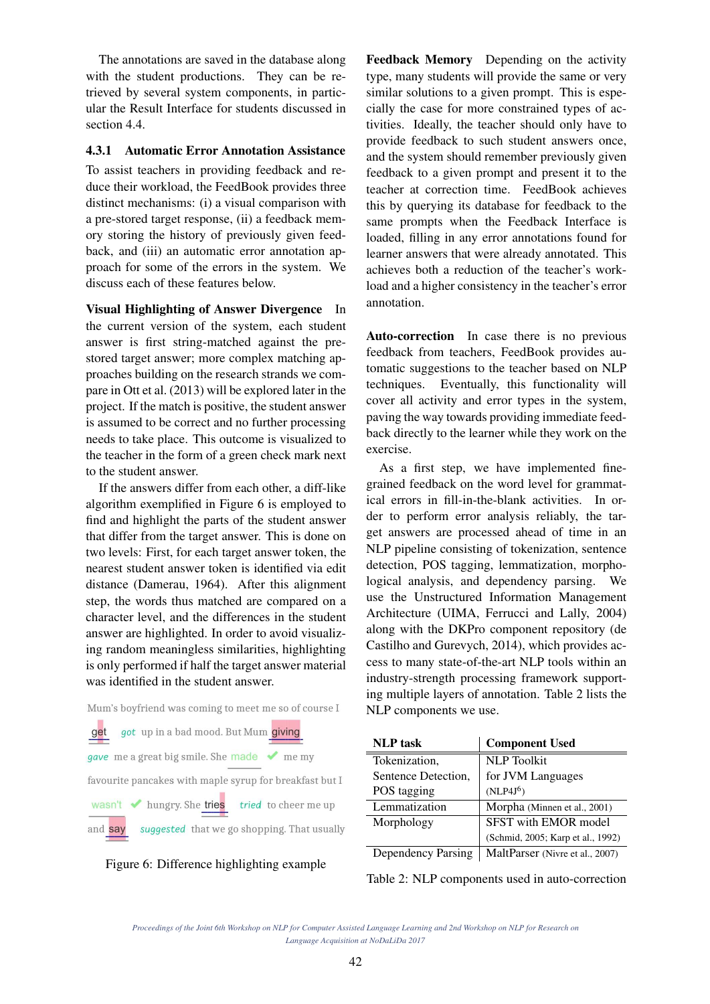The annotations are saved in the database along with the student productions. They can be retrieved by several system components, in particular the Result Interface for students discussed in section 4.4.

#### 4.3.1 Automatic Error Annotation Assistance

To assist teachers in providing feedback and reduce their workload, the FeedBook provides three distinct mechanisms: (i) a visual comparison with a pre-stored target response, (ii) a feedback memory storing the history of previously given feedback, and (iii) an automatic error annotation approach for some of the errors in the system. We discuss each of these features below.

Visual Highlighting of Answer Divergence In the current version of the system, each student answer is first string-matched against the prestored target answer; more complex matching approaches building on the research strands we compare in Ott et al. (2013) will be explored later in the project. If the match is positive, the student answer is assumed to be correct and no further processing needs to take place. This outcome is visualized to the teacher in the form of a green check mark next to the student answer.

If the answers differ from each other, a diff-like algorithm exemplified in Figure 6 is employed to find and highlight the parts of the student answer that differ from the target answer. This is done on two levels: First, for each target answer token, the nearest student answer token is identified via edit distance (Damerau, 1964). After this alignment step, the words thus matched are compared on a character level, and the differences in the student answer are highlighted. In order to avoid visualizing random meaningless similarities, highlighting is only performed if half the target answer material was identified in the student answer.

Mum's boyfriend was coming to meet me so of course I got up in a bad mood. But Mum giving get gave me a great big smile. She made ◆ me my favourite pancakes with maple syrup for breakfast but I hungry. She tries tried to cheer me up wasn't suggested that we go shopping. That usually and say

Figure 6: Difference highlighting example

Feedback Memory Depending on the activity type, many students will provide the same or very similar solutions to a given prompt. This is especially the case for more constrained types of activities. Ideally, the teacher should only have to provide feedback to such student answers once, and the system should remember previously given feedback to a given prompt and present it to the teacher at correction time. FeedBook achieves this by querying its database for feedback to the same prompts when the Feedback Interface is loaded, filling in any error annotations found for learner answers that were already annotated. This achieves both a reduction of the teacher's workload and a higher consistency in the teacher's error annotation.

Auto-correction In case there is no previous feedback from teachers, FeedBook provides automatic suggestions to the teacher based on NLP techniques. Eventually, this functionality will cover all activity and error types in the system, paving the way towards providing immediate feedback directly to the learner while they work on the exercise.

As a first step, we have implemented finegrained feedback on the word level for grammatical errors in fill-in-the-blank activities. In order to perform error analysis reliably, the target answers are processed ahead of time in an NLP pipeline consisting of tokenization, sentence detection, POS tagging, lemmatization, morphological analysis, and dependency parsing. We use the Unstructured Information Management Architecture (UIMA, Ferrucci and Lally, 2004) along with the DKPro component repository (de Castilho and Gurevych, 2014), which provides access to many state-of-the-art NLP tools within an industry-strength processing framework supporting multiple layers of annotation. Table 2 lists the NLP components we use.

| <b>NLP</b> task           | <b>Component Used</b>             |
|---------------------------|-----------------------------------|
| Tokenization,             | <b>NLP</b> Toolkit                |
| Sentence Detection,       | for JVM Languages                 |
| POS tagging               | (NLP4J <sup>6</sup> )             |
| Lemmatization             | Morpha (Minnen et al., 2001)      |
| Morphology                | SFST with EMOR model              |
|                           | (Schmid, 2005; Karp et al., 1992) |
| <b>Dependency Parsing</b> | MaltParser (Nivre et al., 2007)   |

Table 2: NLP components used in auto-correction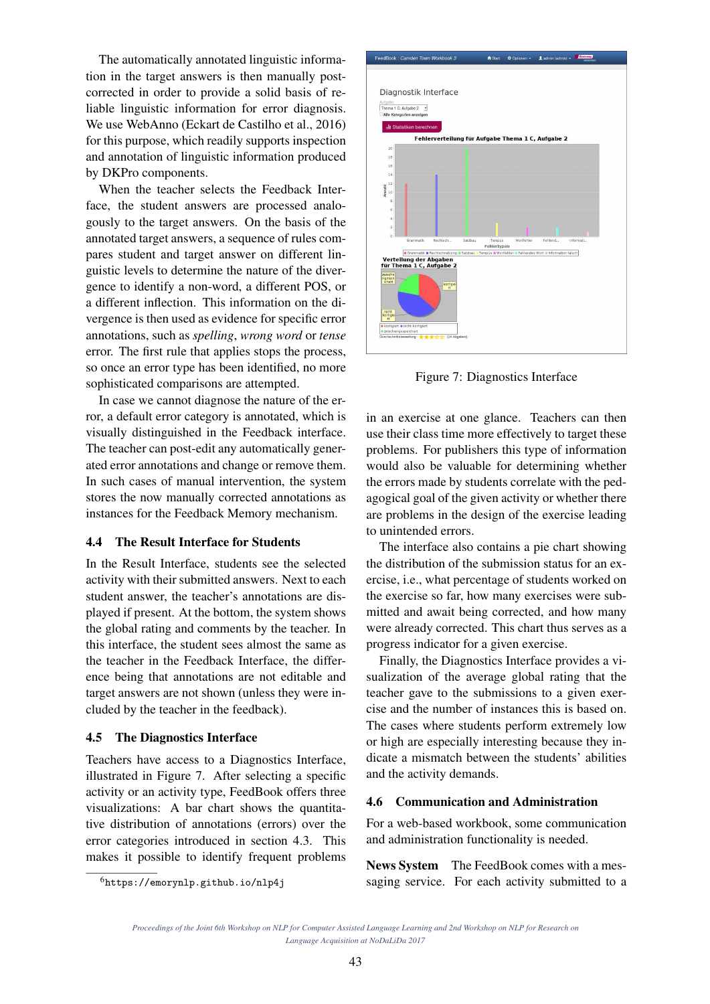The automatically annotated linguistic information in the target answers is then manually postcorrected in order to provide a solid basis of reliable linguistic information for error diagnosis. We use WebAnno (Eckart de Castilho et al., 2016) for this purpose, which readily supports inspection and annotation of linguistic information produced by DKPro components.

When the teacher selects the Feedback Interface, the student answers are processed analogously to the target answers. On the basis of the annotated target answers, a sequence of rules compares student and target answer on different linguistic levels to determine the nature of the divergence to identify a non-word, a different POS, or a different inflection. This information on the divergence is then used as evidence for specific error annotations, such as *spelling*, *wrong word* or *tense* error. The first rule that applies stops the process, so once an error type has been identified, no more sophisticated comparisons are attempted.

In case we cannot diagnose the nature of the error, a default error category is annotated, which is visually distinguished in the Feedback interface. The teacher can post-edit any automatically generated error annotations and change or remove them. In such cases of manual intervention, the system stores the now manually corrected annotations as instances for the Feedback Memory mechanism.

#### 4.4 The Result Interface for Students

In the Result Interface, students see the selected activity with their submitted answers. Next to each student answer, the teacher's annotations are displayed if present. At the bottom, the system shows the global rating and comments by the teacher. In this interface, the student sees almost the same as the teacher in the Feedback Interface, the difference being that annotations are not editable and target answers are not shown (unless they were included by the teacher in the feedback).

#### 4.5 The Diagnostics Interface

Teachers have access to a Diagnostics Interface, illustrated in Figure 7. After selecting a specific activity or an activity type, FeedBook offers three visualizations: A bar chart shows the quantitative distribution of annotations (errors) over the error categories introduced in section 4.3. This makes it possible to identify frequent problems



Figure 7: Diagnostics Interface

in an exercise at one glance. Teachers can then use their class time more effectively to target these problems. For publishers this type of information would also be valuable for determining whether the errors made by students correlate with the pedagogical goal of the given activity or whether there are problems in the design of the exercise leading to unintended errors.

The interface also contains a pie chart showing the distribution of the submission status for an exercise, i.e., what percentage of students worked on the exercise so far, how many exercises were submitted and await being corrected, and how many were already corrected. This chart thus serves as a progress indicator for a given exercise.

Finally, the Diagnostics Interface provides a visualization of the average global rating that the teacher gave to the submissions to a given exercise and the number of instances this is based on. The cases where students perform extremely low or high are especially interesting because they indicate a mismatch between the students' abilities and the activity demands.

### 4.6 Communication and Administration

For a web-based workbook, some communication and administration functionality is needed.

News System The FeedBook comes with a messaging service. For each activity submitted to a

<sup>6</sup>https://emorynlp.github.io/nlp4j

*Proceedings of the Joint 6th Workshop on NLP for Computer Assisted Language Learning and 2nd Workshop on NLP for Research on Language Acquisition at NoDaLiDa 2017*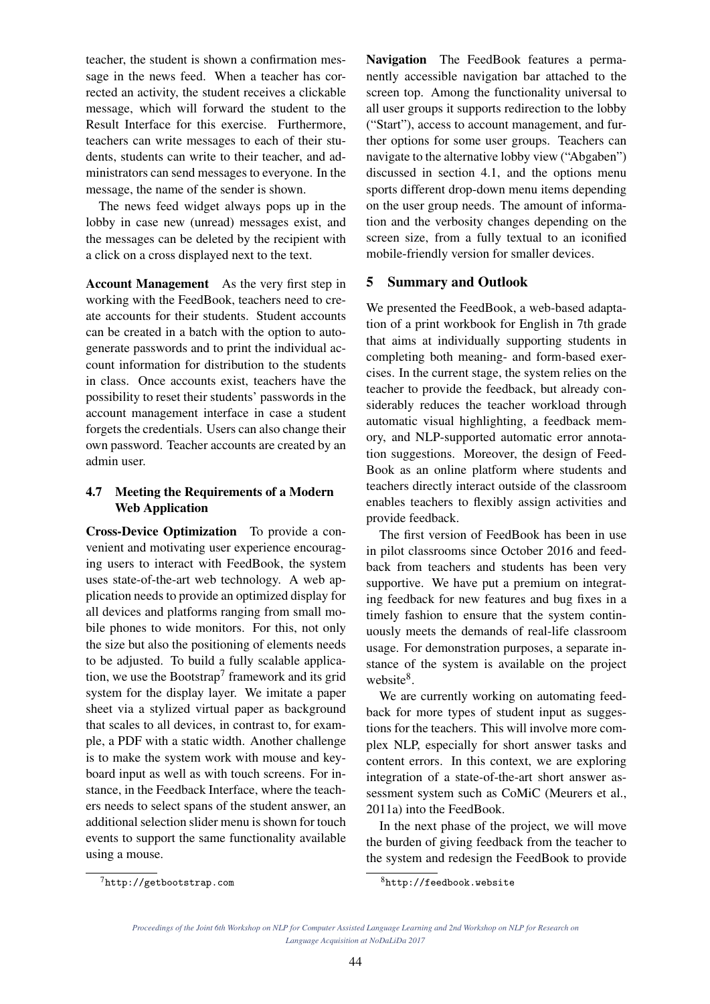teacher, the student is shown a confirmation message in the news feed. When a teacher has corrected an activity, the student receives a clickable message, which will forward the student to the Result Interface for this exercise. Furthermore, teachers can write messages to each of their students, students can write to their teacher, and administrators can send messages to everyone. In the message, the name of the sender is shown.

The news feed widget always pops up in the lobby in case new (unread) messages exist, and the messages can be deleted by the recipient with a click on a cross displayed next to the text.

Account Management As the very first step in working with the FeedBook, teachers need to create accounts for their students. Student accounts can be created in a batch with the option to autogenerate passwords and to print the individual account information for distribution to the students in class. Once accounts exist, teachers have the possibility to reset their students' passwords in the account management interface in case a student forgets the credentials. Users can also change their own password. Teacher accounts are created by an admin user.

# 4.7 Meeting the Requirements of a Modern Web Application

Cross-Device Optimization To provide a convenient and motivating user experience encouraging users to interact with FeedBook, the system uses state-of-the-art web technology. A web application needs to provide an optimized display for all devices and platforms ranging from small mobile phones to wide monitors. For this, not only the size but also the positioning of elements needs to be adjusted. To build a fully scalable application, we use the Bootstrap<sup>7</sup> framework and its grid system for the display layer. We imitate a paper sheet via a stylized virtual paper as background that scales to all devices, in contrast to, for example, a PDF with a static width. Another challenge is to make the system work with mouse and keyboard input as well as with touch screens. For instance, in the Feedback Interface, where the teachers needs to select spans of the student answer, an additional selection slider menu is shown for touch events to support the same functionality available using a mouse.

Navigation The FeedBook features a permanently accessible navigation bar attached to the screen top. Among the functionality universal to all user groups it supports redirection to the lobby ("Start"), access to account management, and further options for some user groups. Teachers can navigate to the alternative lobby view ("Abgaben") discussed in section 4.1, and the options menu sports different drop-down menu items depending on the user group needs. The amount of information and the verbosity changes depending on the screen size, from a fully textual to an iconified mobile-friendly version for smaller devices.

## 5 Summary and Outlook

We presented the FeedBook, a web-based adaptation of a print workbook for English in 7th grade that aims at individually supporting students in completing both meaning- and form-based exercises. In the current stage, the system relies on the teacher to provide the feedback, but already considerably reduces the teacher workload through automatic visual highlighting, a feedback memory, and NLP-supported automatic error annotation suggestions. Moreover, the design of Feed-Book as an online platform where students and teachers directly interact outside of the classroom enables teachers to flexibly assign activities and provide feedback.

The first version of FeedBook has been in use in pilot classrooms since October 2016 and feedback from teachers and students has been very supportive. We have put a premium on integrating feedback for new features and bug fixes in a timely fashion to ensure that the system continuously meets the demands of real-life classroom usage. For demonstration purposes, a separate instance of the system is available on the project website<sup>8</sup>.

We are currently working on automating feedback for more types of student input as suggestions for the teachers. This will involve more complex NLP, especially for short answer tasks and content errors. In this context, we are exploring integration of a state-of-the-art short answer assessment system such as CoMiC (Meurers et al., 2011a) into the FeedBook.

In the next phase of the project, we will move the burden of giving feedback from the teacher to the system and redesign the FeedBook to provide

<sup>7</sup>http://getbootstrap.com

<sup>8</sup>http://feedbook.website

*Proceedings of the Joint 6th Workshop on NLP for Computer Assisted Language Learning and 2nd Workshop on NLP for Research on Language Acquisition at NoDaLiDa 2017*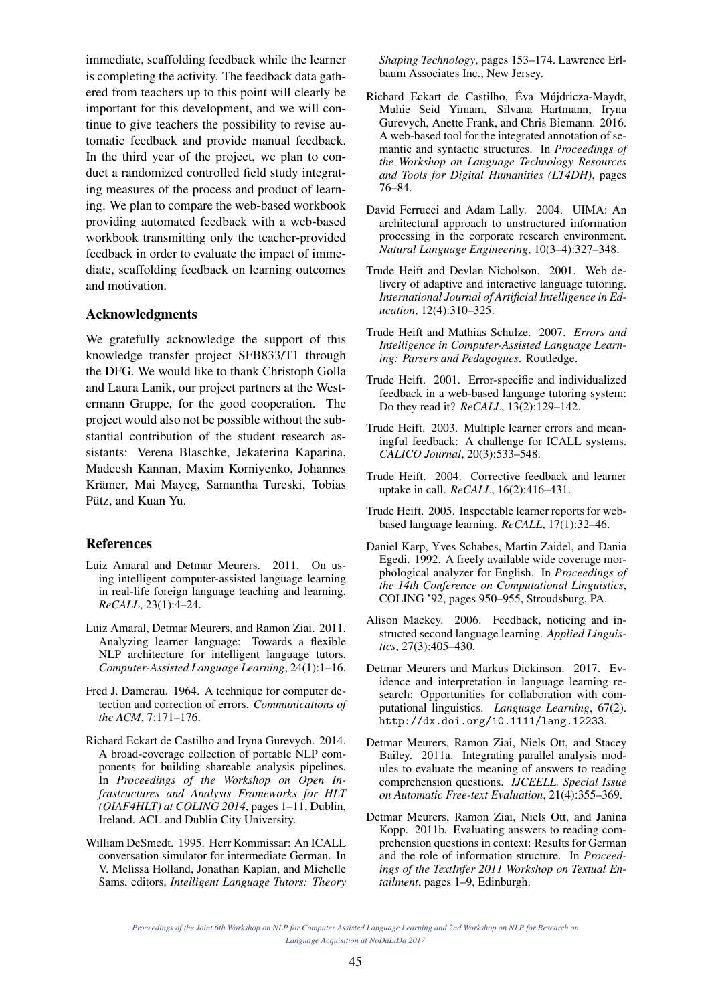immediate, scaffolding feedback while the learner is completing the activity. The feedback data gathered from teachers up to this point will clearly be important for this development, and we will continue to give teachers the possibility to revise automatic feedback and provide manual feedback. In the third year of the project, we plan to conduct a randomized controlled field study integrating measures of the process and product of learning. We plan to compare the web-based workbook providing automated feedback with a web-based workbook transmitting only the teacher-provided feedback in order to evaluate the impact of immediate, scaffolding feedback on learning outcomes and motivation.

### Acknowledgments

We gratefully acknowledge the support of this knowledge transfer project SFB833/T1 through the DFG. We would like to thank Christoph Golla and Laura Lanik, our project partners at the Westermann Gruppe, for the good cooperation. The project would also not be possible without the substantial contribution of the student research assistants: Verena Blaschke, Jekaterina Kaparina, Madeesh Kannan, Maxim Korniyenko, Johannes Krämer, Mai Mayeg, Samantha Tureski, Tobias Pütz, and Kuan Yu.

#### References

- Luiz Amaral and Detmar Meurers. 2011. On using intelligent computer-assisted language learning in real-life foreign language teaching and learning. *ReCALL*, 23(1):4–24.
- Luiz Amaral, Detmar Meurers, and Ramon Ziai. 2011. Analyzing learner language: Towards a flexible NLP architecture for intelligent language tutors. *Computer-Assisted Language Learning*, 24(1):1–16.
- Fred J. Damerau. 1964. A technique for computer detection and correction of errors. *Communications of the ACM*, 7:171–176.
- Richard Eckart de Castilho and Iryna Gurevych. 2014. A broad-coverage collection of portable NLP components for building shareable analysis pipelines. In *Proceedings of the Workshop on Open Infrastructures and Analysis Frameworks for HLT (OIAF4HLT) at COLING 2014*, pages 1–11, Dublin, Ireland. ACL and Dublin City University.
- William DeSmedt. 1995. Herr Kommissar: An ICALL conversation simulator for intermediate German. In V. Melissa Holland, Jonathan Kaplan, and Michelle Sams, editors, *Intelligent Language Tutors: Theory*

*Shaping Technology*, pages 153–174. Lawrence Erlbaum Associates Inc., New Jersey.

- Richard Eckart de Castilho, Éva Mújdricza-Maydt, Muhie Seid Yimam, Silvana Hartmann, Iryna Gurevych, Anette Frank, and Chris Biemann. 2016. A web-based tool for the integrated annotation of semantic and syntactic structures. In *Proceedings of the Workshop on Language Technology Resources and Tools for Digital Humanities (LT4DH)*, pages 76–84.
- David Ferrucci and Adam Lally. 2004. UIMA: An architectural approach to unstructured information processing in the corporate research environment. *Natural Language Engineering*, 10(3–4):327–348.
- Trude Heift and Devlan Nicholson. 2001. Web delivery of adaptive and interactive language tutoring. *International Journal of Artificial Intelligence in Education*, 12(4):310–325.
- Trude Heift and Mathias Schulze. 2007. *Errors and Intelligence in Computer-Assisted Language Learning: Parsers and Pedagogues*. Routledge.
- Trude Heift. 2001. Error-specific and individualized feedback in a web-based language tutoring system: Do they read it? *ReCALL*, 13(2):129–142.
- Trude Heift. 2003. Multiple learner errors and meaningful feedback: A challenge for ICALL systems. *CALICO Journal*, 20(3):533–548.
- Trude Heift. 2004. Corrective feedback and learner uptake in call. *ReCALL*, 16(2):416–431.
- Trude Heift. 2005. Inspectable learner reports for webbased language learning. *ReCALL*, 17(1):32–46.
- Daniel Karp, Yves Schabes, Martin Zaidel, and Dania Egedi. 1992. A freely available wide coverage morphological analyzer for English. In *Proceedings of the 14th Conference on Computational Linguistics*, COLING '92, pages 950–955, Stroudsburg, PA.
- Alison Mackey. 2006. Feedback, noticing and instructed second language learning. *Applied Linguistics*, 27(3):405–430.
- Detmar Meurers and Markus Dickinson. 2017. Evidence and interpretation in language learning research: Opportunities for collaboration with computational linguistics. *Language Learning*, 67(2). http://dx.doi.org/10.1111/lang.12233.
- Detmar Meurers, Ramon Ziai, Niels Ott, and Stacey Bailey. 2011a. Integrating parallel analysis modules to evaluate the meaning of answers to reading comprehension questions. *IJCEELL. Special Issue on Automatic Free-text Evaluation*, 21(4):355–369.
- Detmar Meurers, Ramon Ziai, Niels Ott, and Janina Kopp. 2011b. Evaluating answers to reading comprehension questions in context: Results for German and the role of information structure. In *Proceedings of the TextInfer 2011 Workshop on Textual Entailment*, pages 1–9, Edinburgh.

*Proceedings of the Joint 6th Workshop on NLP for Computer Assisted Language Learning and 2nd Workshop on NLP for Research on Language Acquisition at NoDaLiDa 2017*